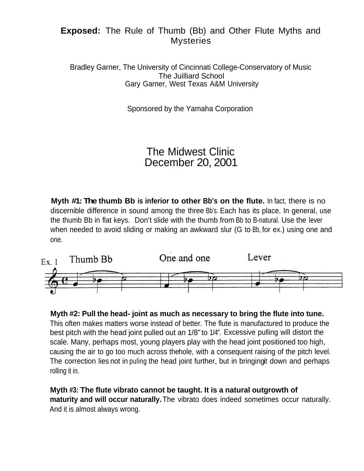## **Exposed:** The Rule of Thumb (Bb) and Other Flute Myths and **Mysteries**

Bradley Garner, The University of Cincinnati College-Conservatory of Music The Juilliard School Gary Garner, West Texas A&M University

Sponsored by the Yamaha Corporation

## The Midwest Clinic December 20, 2001

**Myth #1: The thumb Bb is inferior to other Bb's on the flute.** In fact, there is no discernible difference in sound among the three Bb's. Each has its place. In general, use the thumb Bb in flat keys. Don't slide with the thumb from Bb to B-natural. Use the lever when needed to avoid sliding or making an awkward slur (G to Bb, for ex.) using one and one.



**Myth #2: Pull the head- joint as much as necessary to bring the flute into tune.** This often makes matters worse instead of better. The flute is manufactured to produce the best pitch with the head joint pulled out an 1/8" to 1/4". Excessive pulling will distort the scale. Many, perhaps most, young players play with the head joint positioned too high, causing the air to go too much across thehole, with a consequent raising of the pitch level. The correction lies not in puling the head joint further, but in bringingit down and perhaps rolling it in.

**Myth #3: The flute vibrato cannot be taught. It is a natural outgrowth of maturity and will occur naturally.**The vibrato does indeed sometimes occur naturally. And it is almost always wrong.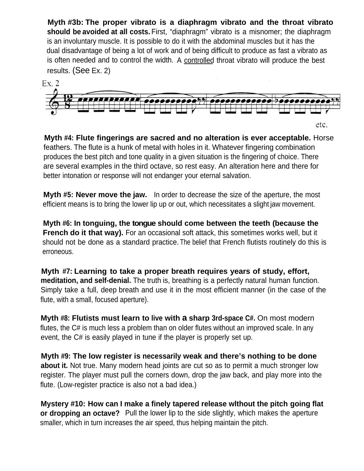**Myth #3b: The proper vibrato is a diaphragm vibrato and the throat vibrato should be avoided at all costs.** First, "diaphragm" vibrato is a misnomer; the diaphragm is an involuntary muscle. It is possible to do it with the abdominal muscles but it has the dual disadvantage of being a lot of work and of being difficult to produce as fast a vibrato as is often needed and to control the width. A controlled throat vibrato will produce the best results. (See Ex. 2)



**Myth #4: Flute fingerings are sacred and no alteration is ever acceptable.** Horse feathers. The flute is a hunk of metal with holes in it. Whatever fingering combination produces the best pitch and tone quality in a given situation is the fingering of choice. There are several examples in the third octave, so rest easy. An alteration here and there for better intonation or response will not endanger your eternal salvation.

**Myth #5: Never move the jaw.** In order to decrease the size of the aperture, the most efficient means is to bring the lower lip up or out, which necessitates a slight jaw movement.

**Myth #6: In tonguing, the tongue should come between the teeth (because the French do it that way).** For an occasional soft attack, this sometimes works well, but it should not be done as a standard practice. The belief that French flutists routinely do this is erroneous.

**Myth #7: Learning to take a proper breath requires years of study, effort, meditation, and self-denial.** The truth is, breathing is a perfectly natural human function. Simply take a full, deep breath and use it in the most efficient manner (in the case of the flute, with a small, focused aperture).

**Myth #8: Flutists must learn to live with a sharp 3rd-space C#.** On most modern flutes, the C# is much less a problem than on older flutes without an improved scale. In any event, the C# is easily played in tune if the player is properly set up.

**Myth #9: The low register is necessarily weak and there's nothing to be done about it.** Not true. Many modern head joints are cut so as to permit a much stronger low register. The player must pull the corners down, drop the jaw back, and play more into the flute. (Low-register practice is also not a bad idea.)

**Mystery #10: How can I make a finely tapered release wlthout the pitch going flat or dropping an octave?** Pull the lower lip to the side slightly, which makes the aperture smaller, which in turn increases the air speed, thus helping maintain the pitch.